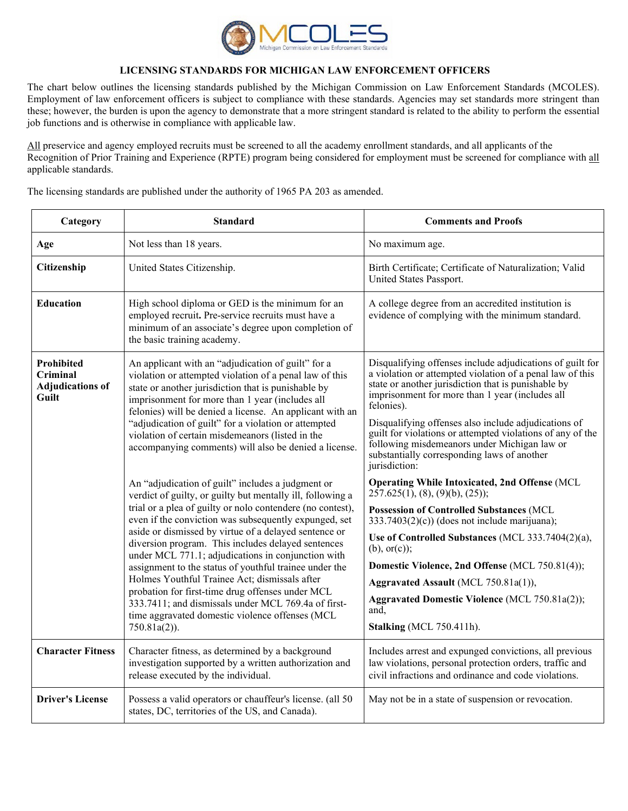

## **LICENSING STANDARDS FOR MICHIGAN LAW ENFORCEMENT OFFICERS**

The chart below outlines the licensing standards published by the Michigan Commission on Law Enforcement Standards (MCOLES). Employment of law enforcement officers is subject to compliance with these standards. Agencies may set standards more stringent than these; however, the burden is upon the agency to demonstrate that a more stringent standard is related to the ability to perform the essential job functions and is otherwise in compliance with applicable law.

All preservice and agency employed recruits must be screened to all the academy enrollment standards, and all applicants of the Recognition of Prior Training and Experience (RPTE) program being considered for employment must be screened for compliance with all applicable standards.

The licensing standards are published under the authority of 1965 PA 203 as amended.

| Category                                                          | <b>Standard</b>                                                                                                                                                                                                                                                                                                                                                                                                                                                                                                                                                                                                                                                                                         | <b>Comments and Proofs</b>                                                                                                                                                                                                                                                                                                                                                                                                                                                           |
|-------------------------------------------------------------------|---------------------------------------------------------------------------------------------------------------------------------------------------------------------------------------------------------------------------------------------------------------------------------------------------------------------------------------------------------------------------------------------------------------------------------------------------------------------------------------------------------------------------------------------------------------------------------------------------------------------------------------------------------------------------------------------------------|--------------------------------------------------------------------------------------------------------------------------------------------------------------------------------------------------------------------------------------------------------------------------------------------------------------------------------------------------------------------------------------------------------------------------------------------------------------------------------------|
| Age                                                               | Not less than 18 years.                                                                                                                                                                                                                                                                                                                                                                                                                                                                                                                                                                                                                                                                                 | No maximum age.                                                                                                                                                                                                                                                                                                                                                                                                                                                                      |
| Citizenship                                                       | United States Citizenship.                                                                                                                                                                                                                                                                                                                                                                                                                                                                                                                                                                                                                                                                              | Birth Certificate; Certificate of Naturalization; Valid<br>United States Passport.                                                                                                                                                                                                                                                                                                                                                                                                   |
| <b>Education</b>                                                  | High school diploma or GED is the minimum for an<br>employed recruit. Pre-service recruits must have a<br>minimum of an associate's degree upon completion of<br>the basic training academy.                                                                                                                                                                                                                                                                                                                                                                                                                                                                                                            | A college degree from an accredited institution is<br>evidence of complying with the minimum standard.                                                                                                                                                                                                                                                                                                                                                                               |
| <b>Prohibited</b><br>Criminal<br><b>Adjudications of</b><br>Guilt | An applicant with an "adjudication of guilt" for a<br>violation or attempted violation of a penal law of this<br>state or another jurisdiction that is punishable by<br>imprisonment for more than 1 year (includes all<br>felonies) will be denied a license. An applicant with an<br>"adjudication of guilt" for a violation or attempted<br>violation of certain misdemeanors (listed in the<br>accompanying comments) will also be denied a license.                                                                                                                                                                                                                                                | Disqualifying offenses include adjudications of guilt for<br>a violation or attempted violation of a penal law of this<br>state or another jurisdiction that is punishable by<br>imprisonment for more than 1 year (includes all<br>felonies).<br>Disqualifying offenses also include adjudications of<br>guilt for violations or attempted violations of any of the<br>following misdemeanors under Michigan law or<br>substantially corresponding laws of another<br>jurisdiction: |
|                                                                   | An "adjudication of guilt" includes a judgment or<br>verdict of guilty, or guilty but mentally ill, following a<br>trial or a plea of guilty or nolo contendere (no contest),<br>even if the conviction was subsequently expunged, set<br>aside or dismissed by virtue of a delayed sentence or<br>diversion program. This includes delayed sentences<br>under MCL 771.1; adjudications in conjunction with<br>assignment to the status of youthful trainee under the<br>Holmes Youthful Trainee Act; dismissals after<br>probation for first-time drug offenses under MCL<br>333.7411; and dismissals under MCL 769.4a of first-<br>time aggravated domestic violence offenses (MCL<br>$750.81a(2)$ ). | <b>Operating While Intoxicated, 2nd Offense (MCL</b><br>257.625(1), (8), (9)(b), (25);<br><b>Possession of Controlled Substances (MCL</b><br>$333.7403(2)(c)$ (does not include marijuana);<br>Use of Controlled Substances (MCL 333.7404(2)(a),<br>$(b)$ , or $(c)$ );<br>Domestic Violence, 2nd Offense (MCL 750.81(4));<br>Aggravated Assault (MCL 750.81a(1)),<br>Aggravated Domestic Violence (MCL 750.81a(2));<br>and.<br>Stalking (MCL 750.411h).                             |
| <b>Character Fitness</b>                                          | Character fitness, as determined by a background<br>investigation supported by a written authorization and<br>release executed by the individual.                                                                                                                                                                                                                                                                                                                                                                                                                                                                                                                                                       | Includes arrest and expunged convictions, all previous<br>law violations, personal protection orders, traffic and<br>civil infractions and ordinance and code violations.                                                                                                                                                                                                                                                                                                            |
| <b>Driver's License</b>                                           | Possess a valid operators or chauffeur's license. (all 50<br>states, DC, territories of the US, and Canada).                                                                                                                                                                                                                                                                                                                                                                                                                                                                                                                                                                                            | May not be in a state of suspension or revocation.                                                                                                                                                                                                                                                                                                                                                                                                                                   |